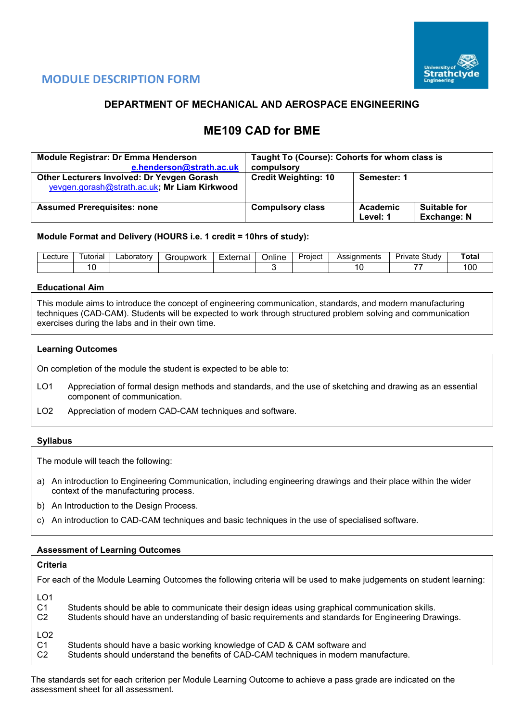

# **MODULE DESCRIPTION FORM**

# **DEPARTMENT OF MECHANICAL AND AEROSPACE ENGINEERING**

# **ME109 CAD for BME**

| <b>Module Registrar: Dr Emma Henderson</b><br>e.henderson@strath.ac.uk                     | Taught To (Course): Cohorts for whom class is<br>compulsory |                      |                                           |  |  |  |
|--------------------------------------------------------------------------------------------|-------------------------------------------------------------|----------------------|-------------------------------------------|--|--|--|
| Other Lecturers Involved: Dr Yevgen Gorash<br>yevgen.gorash@strath.ac.uk; Mr Liam Kirkwood | <b>Credit Weighting: 10</b>                                 | Semester: 1          |                                           |  |  |  |
| <b>Assumed Prerequisites: none</b>                                                         | <b>Compulsory class</b>                                     | Academic<br>Level: 1 | <b>Suitable for</b><br><b>Exchange: N</b> |  |  |  |

### **Module Format and Delivery (HOURS i.e. 1 credit = 10hrs of study):**

| ∟ecture | utorial | ∟aborator∨ | `roupwork | External<br>الصاليا | Online | Proiect | Assianments | Study<br>Private | Tota <sub>ı</sub> |
|---------|---------|------------|-----------|---------------------|--------|---------|-------------|------------------|-------------------|
|         |         |            |           |                     |        |         |             | --               | م ہ<br>ו טע       |

### **Educational Aim**

This module aims to introduce the concept of engineering communication, standards, and modern manufacturing techniques (CAD-CAM). Students will be expected to work through structured problem solving and communication exercises during the labs and in their own time.

### **Learning Outcomes**

On completion of the module the student is expected to be able to:

- LO1 Appreciation of formal design methods and standards, and the use of sketching and drawing as an essential component of communication.
- LO2 Appreciation of modern CAD-CAM techniques and software.

### **Syllabus**

The module will teach the following:

- a) An introduction to Engineering Communication, including engineering drawings and their place within the wider context of the manufacturing process.
- b) An Introduction to the Design Process.
- c) An introduction to CAD-CAM techniques and basic techniques in the use of specialised software.

### **Assessment of Learning Outcomes**

### **Criteria**

For each of the Module Learning Outcomes the following criteria will be used to make judgements on student learning: LO1 C1 Students should be able to communicate their design ideas using graphical communication skills. Students should have an understanding of basic requirements and standards for Engineering Drawings.  $L$ O<sub>2</sub>

- Students should have a basic working knowledge of CAD & CAM software and
- C2 Students should understand the benefits of CAD-CAM techniques in modern manufacture.

The standards set for each criterion per Module Learning Outcome to achieve a pass grade are indicated on the assessment sheet for all assessment.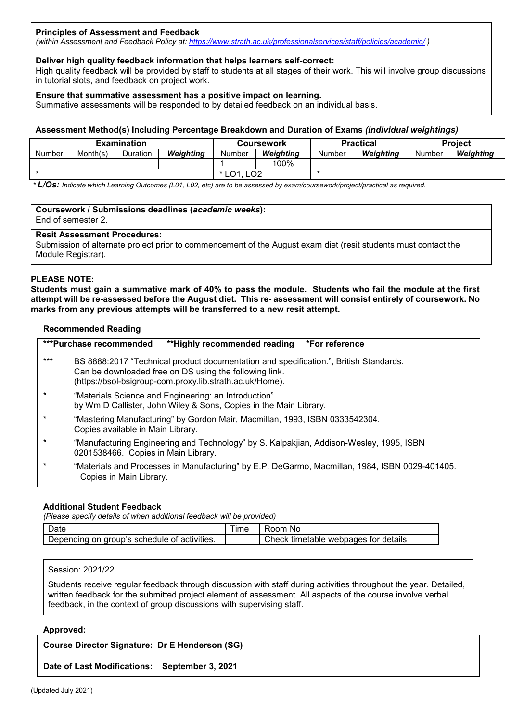### **Principles of Assessment and Feedback**

*(within Assessment and Feedback Policy at:<https://www.strath.ac.uk/professionalservices/staff/policies/academic/> )*

### **Deliver high quality feedback information that helps learners self-correct:**

High quality feedback will be provided by staff to students at all stages of their work. This will involve group discussions in tutorial slots, and feedback on project work.

#### **Ensure that summative assessment has a positive impact on learning.**

Summative assessments will be responded to by detailed feedback on an individual basis.

### **Assessment Method(s) Including Percentage Breakdown and Duration of Exams** *(individual weightings)*

|        |          | <b>Examination</b> |                              |        | <b>Coursework</b> |        | <b>Practical</b> | <b>Project</b>      |  |
|--------|----------|--------------------|------------------------------|--------|-------------------|--------|------------------|---------------------|--|
| Number | Month(s) | Duration           | Weiahtina                    | Number | Weiahtina         | Number | Weiahtina        | Weiahtina<br>Number |  |
|        |          |                    |                              |        | 100%              |        |                  |                     |  |
|        |          |                    | $\cap$<br>$\bigcap$ 1<br>◡◡▵ |        |                   |        |                  |                     |  |

*\* L/Os: Indicate which Learning Outcomes (L01, L02, etc) are to be assessed by exam/coursework/project/practical as required.*

### **Coursework / Submissions deadlines (***academic weeks***):**

End of semester 2.

# **Resit Assessment Procedures:**

Submission of alternate project prior to commencement of the August exam diet (resit students must contact the Module Registrar).

### **PLEASE NOTE:**

**Students must gain a summative mark of 40% to pass the module. Students who fail the module at the first attempt will be re-assessed before the August diet. This re- assessment will consist entirely of coursework. No marks from any previous attempts will be transferred to a new resit attempt.**

### **Recommended Reading**

|        | <b>***Purchase recommended</b><br>**Highly recommended reading<br>*For reference                                                                                                                            |
|--------|-------------------------------------------------------------------------------------------------------------------------------------------------------------------------------------------------------------|
| $***$  | BS 8888:2017 "Technical product documentation and specification.", British Standards.<br>Can be downloaded free on DS using the following link.<br>(https://bsol-bsigroup-com.proxy.lib.strath.ac.uk/Home). |
| $\ast$ | "Materials Science and Engineering: an Introduction"<br>by Wm D Callister, John Wiley & Sons, Copies in the Main Library.                                                                                   |
| $\ast$ | "Mastering Manufacturing" by Gordon Mair, Macmillan, 1993, ISBN 0333542304.<br>Copies available in Main Library.                                                                                            |
| $\ast$ | "Manufacturing Engineering and Technology" by S. Kalpakjian, Addison-Wesley, 1995, ISBN<br>0201538466. Copies in Main Library.                                                                              |
| $\ast$ | "Materials and Processes in Manufacturing" by E.P. DeGarmo, Macmillan, 1984, ISBN 0029-401405.<br>Copies in Main Library.                                                                                   |

### **Additional Student Feedback**

*(Please specify details of when additional feedback will be provided)*

| ⊃ate                                                                             | $\sim$<br>ıme | ററന<br><b>NC</b>                                                                 |
|----------------------------------------------------------------------------------|---------------|----------------------------------------------------------------------------------|
| .<br>Jenenr<br>aroun<br>`activities.<br>.<br>nedule<br>ה הי<br>Ωì<br>nr<br>,,,,, |               | <br>details<br>timetable<br>tor<br>:heck<br>ndes.<br>wenna <i>r</i><br>$\cdot$ . |

### Session: 2021/22

Students receive regular feedback through discussion with staff during activities throughout the year. Detailed, written feedback for the submitted project element of assessment. All aspects of the course involve verbal feedback, in the context of group discussions with supervising staff.

### **Approved:**

**Course Director Signature: Dr E Henderson (SG)**

**Date of Last Modifications: September 3, 2021**